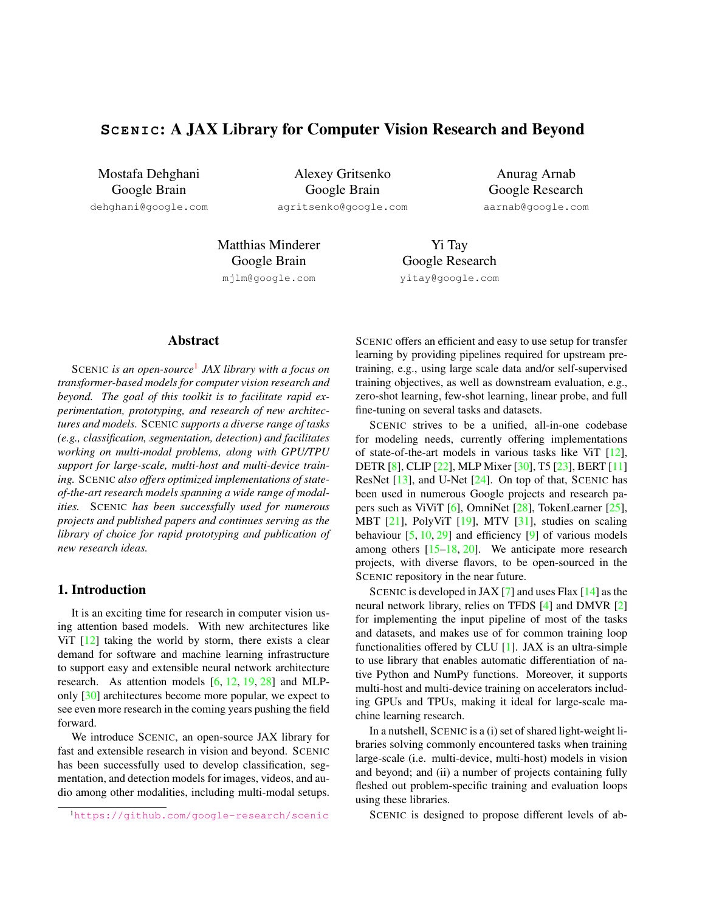# **SCENIC: A JAX Library for Computer Vision Research and Beyond**

Mostafa Dehghani Google Brain

dehghani@google.com

Alexey Gritsenko Google Brain agritsenko@google.com

Anurag Arnab Google Research aarnab@google.com

Matthias Minderer Google Brain mjlm@google.com

Yi Tay Google Research yitay@google.com

### Abstract

SCENIC *is an open-source*<sup>1</sup> *JAX library with a focus on transformer-based models for computer vision research and beyond. The goal of this toolkit is to facilitate rapid experimentation, prototyping, and research of new architectures and models.* SCENIC *supports a diverse range of tasks (e.g., classification, segmentation, detection) and facilitates working on multi-modal problems, along with GPU/TPU support for large-scale, multi-host and multi-device training.* SCENIC *also offers optimized implementations of stateof-the-art research models spanning a wide range of modalities.* SCENIC *has been successfully used for numerous projects and published papers and continues serving as the library of choice for rapid prototyping and publication of new research ideas.*

# 1. Introduction

It is an exciting time for research in computer vision using attention based models. With new architectures like ViT  $[12]$  taking the world by storm, there exists a clear demand for software and machine learning infrastructure to support easy and extensible neural network architecture research. As attention models [6, 12, 19, 28] and MLPonly [30] architectures become more popular, we expect to see even more research in the coming years pushing the field forward.

We introduce SCENIC, an open-source JAX library for fast and extensible research in vision and beyond. SCENIC has been successfully used to develop classification, segmentation, and detection models for images, videos, and audio among other modalities, including multi-modal setups.

SCENIC offers an efficient and easy to use setup for transfer learning by providing pipelines required for upstream pretraining, e.g., using large scale data and/or self-supervised training objectives, as well as downstream evaluation, e.g., zero-shot learning, few-shot learning, linear probe, and full fine-tuning on several tasks and datasets.

SCENIC strives to be a unified, all-in-one codebase for modeling needs, currently offering implementations of state-of-the-art models in various tasks like ViT [12], DETR [8], CLIP [22], MLP Mixer [30], T5 [23], BERT [11] ResNet [13], and U-Net [24]. On top of that, SCENIC has been used in numerous Google projects and research papers such as ViViT [6], OmniNet [28], TokenLearner [25], MBT [21], PolyViT [19], MTV [31], studies on scaling behaviour  $[5, 10, 29]$  and efficiency  $[9]$  of various models among others [15–18, 20]. We anticipate more research projects, with diverse flavors, to be open-sourced in the SCENIC repository in the near future.

SCENIC is developed in JAX  $[7]$  and uses Flax  $[14]$  as the neural network library, relies on TFDS [4] and DMVR [2] for implementing the input pipeline of most of the tasks and datasets, and makes use of for common training loop functionalities offered by CLU [1]. JAX is an ultra-simple to use library that enables automatic differentiation of native Python and NumPy functions. Moreover, it supports multi-host and multi-device training on accelerators including GPUs and TPUs, making it ideal for large-scale machine learning research.

In a nutshell, SCENIC is a (i) set of shared light-weight libraries solving commonly encountered tasks when training large-scale (i.e. multi-device, multi-host) models in vision and beyond; and (ii) a number of projects containing fully fleshed out problem-specific training and evaluation loops using these libraries.

SCENIC is designed to propose different levels of ab-

<sup>1</sup>https://github.com/google-research/scenic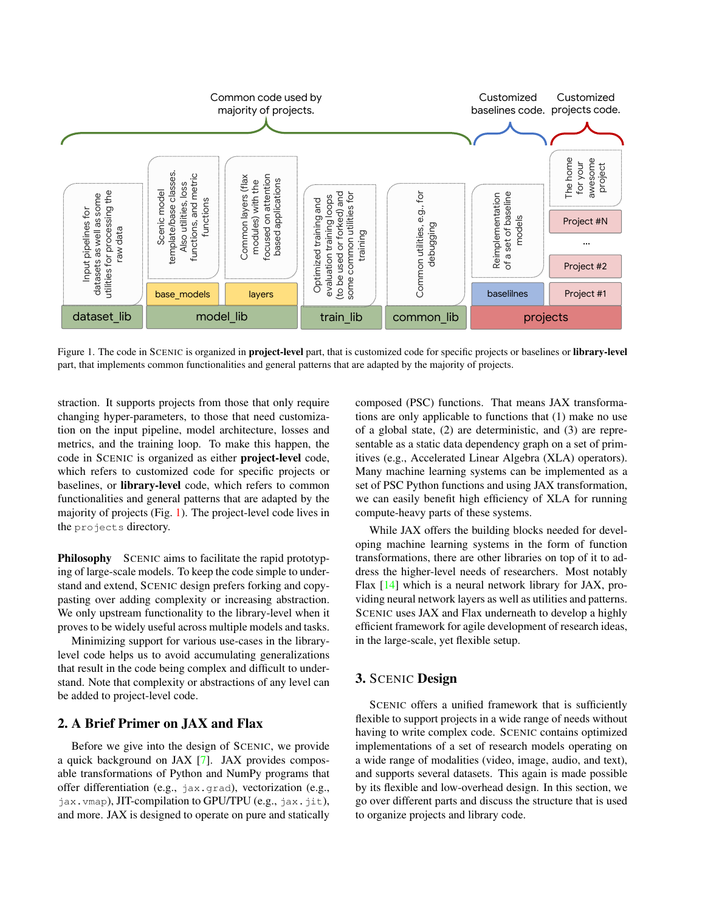

Figure 1. The code in SCENIC is organized in project-level part, that is customized code for specific projects or baselines or library-level part, that implements common functionalities and general patterns that are adapted by the majority of projects.

straction. It supports projects from those that only require changing hyper-parameters, to those that need customization on the input pipeline, model architecture, losses and metrics, and the training loop. To make this happen, the code in SCENIC is organized as either project-level code, which refers to customized code for specific projects or baselines, or library-level code, which refers to common functionalities and general patterns that are adapted by the majority of projects (Fig. 1). The project-level code lives in the projects directory.

Philosophy SCENIC aims to facilitate the rapid prototyping of large-scale models. To keep the code simple to understand and extend, SCENIC design prefers forking and copypasting over adding complexity or increasing abstraction. We only upstream functionality to the library-level when it proves to be widely useful across multiple models and tasks.

Minimizing support for various use-cases in the librarylevel code helps us to avoid accumulating generalizations that result in the code being complex and difficult to understand. Note that complexity or abstractions of any level can be added to project-level code.

### 2. A Brief Primer on JAX and Flax

Before we give into the design of SCENIC, we provide a quick background on JAX [7]. JAX provides composable transformations of Python and NumPy programs that offer differentiation (e.g., jax.grad), vectorization (e.g.,  $jax.$  vmap), JIT-compilation to GPU/TPU (e.g.,  $jax.$   $jit$ ), and more. JAX is designed to operate on pure and statically composed (PSC) functions. That means JAX transformations are only applicable to functions that (1) make no use of a global state, (2) are deterministic, and (3) are representable as a static data dependency graph on a set of primitives (e.g., Accelerated Linear Algebra (XLA) operators). Many machine learning systems can be implemented as a set of PSC Python functions and using JAX transformation, we can easily benefit high efficiency of XLA for running compute-heavy parts of these systems.

While JAX offers the building blocks needed for developing machine learning systems in the form of function transformations, there are other libraries on top of it to address the higher-level needs of researchers. Most notably Flax [14] which is a neural network library for JAX, providing neural network layers as well as utilities and patterns. SCENIC uses JAX and Flax underneath to develop a highly efficient framework for agile development of research ideas, in the large-scale, yet flexible setup.

# 3. SCENIC Design

SCENIC offers a unified framework that is sufficiently flexible to support projects in a wide range of needs without having to write complex code. SCENIC contains optimized implementations of a set of research models operating on a wide range of modalities (video, image, audio, and text), and supports several datasets. This again is made possible by its flexible and low-overhead design. In this section, we go over different parts and discuss the structure that is used to organize projects and library code.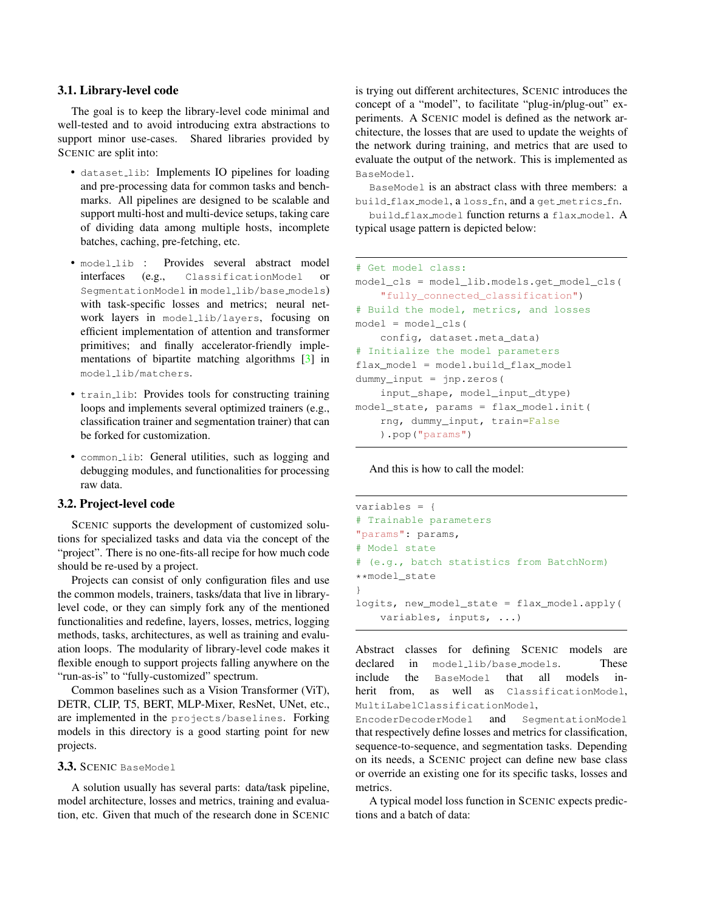#### 3.1. Library-level code

The goal is to keep the library-level code minimal and well-tested and to avoid introducing extra abstractions to support minor use-cases. Shared libraries provided by SCENIC are split into:

- dataset lib: Implements IO pipelines for loading and pre-processing data for common tasks and benchmarks. All pipelines are designed to be scalable and support multi-host and multi-device setups, taking care of dividing data among multiple hosts, incomplete batches, caching, pre-fetching, etc.
- modellib : Provides several abstract model interfaces (e.g., ClassificationModel or SegmentationModel in model\_lib/base\_models) with task-specific losses and metrics; neural network layers in model lib/layers, focusing on efficient implementation of attention and transformer primitives; and finally accelerator-friendly implementations of bipartite matching algorithms [3] in model lib/matchers.
- train lib: Provides tools for constructing training loops and implements several optimized trainers (e.g., classification trainer and segmentation trainer) that can be forked for customization.
- common\_lib: General utilities, such as logging and debugging modules, and functionalities for processing raw data.

#### 3.2. Project-level code

SCENIC supports the development of customized solutions for specialized tasks and data via the concept of the "project". There is no one-fits-all recipe for how much code should be re-used by a project.

Projects can consist of only configuration files and use the common models, trainers, tasks/data that live in librarylevel code, or they can simply fork any of the mentioned functionalities and redefine, layers, losses, metrics, logging methods, tasks, architectures, as well as training and evaluation loops. The modularity of library-level code makes it flexible enough to support projects falling anywhere on the "run-as-is" to "fully-customized" spectrum.

Common baselines such as a Vision Transformer (ViT), DETR, CLIP, T5, BERT, MLP-Mixer, ResNet, UNet, etc., are implemented in the projects/baselines. Forking models in this directory is a good starting point for new projects.

#### 3.3. SCENIC BaseModel

A solution usually has several parts: data/task pipeline, model architecture, losses and metrics, training and evaluation, etc. Given that much of the research done in SCENIC is trying out different architectures, SCENIC introduces the concept of a "model", to facilitate "plug-in/plug-out" experiments. A SCENIC model is defined as the network architecture, the losses that are used to update the weights of the network during training, and metrics that are used to evaluate the output of the network. This is implemented as BaseModel.

BaseModel is an abstract class with three members: a build flax model, a loss fn, and a get metrics fn.

build flax model function returns a flax model. A typical usage pattern is depicted below:

```
# Get model class:
model_cls = model_lib.models.get_model_cls(
    "fully_connected_classification")
# Build the model, metrics, and losses
model = modelcls(config, dataset.meta_data)
# Initialize the model parameters
flax model = model.build flat modeldummy_input = jnp.zeros(
    input_shape, model_input_dtype)
model_state, params = flax_model.init(
    rng, dummy_input, train=False
    ).pop("params")
```
And this is how to call the model:

```
variables = {
# Trainable parameters
"params": params,
# Model state
# (e.g., batch statistics from BatchNorm)
**model_state
}
logits, new_model_state = flax_model.apply(
    variables, inputs, ...)
```
Abstract classes for defining SCENIC models are declared in model\_lib/base\_models. These include the BaseModel that all models inherit from, as well as ClassificationModel, MultiLabelClassificationModel,

EncoderDecoderModel and SegmentationModel that respectively define losses and metrics for classification, sequence-to-sequence, and segmentation tasks. Depending on its needs, a SCENIC project can define new base class or override an existing one for its specific tasks, losses and metrics.

A typical model loss function in SCENIC expects predictions and a batch of data: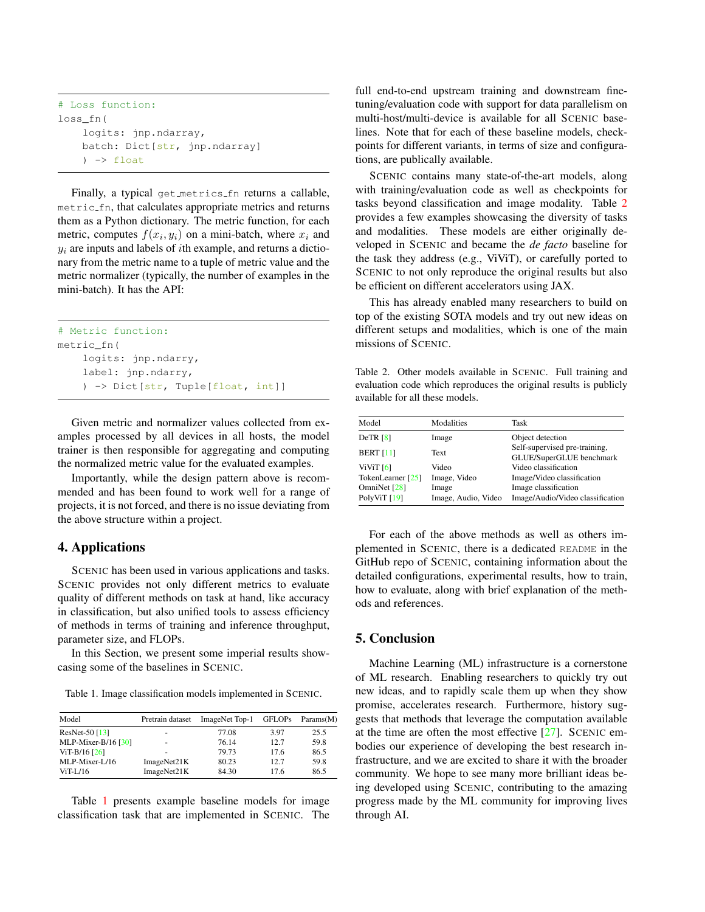```
# Loss function:
loss_fn(
    logits: jnp.ndarray,
    batch: Dict[str, jnp.ndarray]
    ) \rightarrow float
```
Finally, a typical get metrics fn returns a callable, metric fn, that calculates appropriate metrics and returns them as a Python dictionary. The metric function, for each metric, computes  $f(x_i, y_i)$  on a mini-batch, where  $x_i$  and  $y_i$  are inputs and labels of *i*th example, and returns a dictionary from the metric name to a tuple of metric value and the metric normalizer (typically, the number of examples in the mini-batch). It has the API:

```
# Metric function:
metric_fn(
    logits: jnp.ndarry,
    label: jnp.ndarry,
    ) -> Dict[str, Tuple[float, int]]
```
Given metric and normalizer values collected from examples processed by all devices in all hosts, the model trainer is then responsible for aggregating and computing the normalized metric value for the evaluated examples.

Importantly, while the design pattern above is recommended and has been found to work well for a range of projects, it is not forced, and there is no issue deviating from the above structure within a project.

# 4. Applications

SCENIC has been used in various applications and tasks. SCENIC provides not only different metrics to evaluate quality of different methods on task at hand, like accuracy in classification, but also unified tools to assess efficiency of methods in terms of training and inference throughput, parameter size, and FLOPs.

In this Section, we present some imperial results showcasing some of the baselines in SCENIC.

Table 1. Image classification models implemented in SCENIC.

| Model                 | Pretrain dataset | ImageNet Top-1 | <b>GFLOPs</b> | Params(M) |
|-----------------------|------------------|----------------|---------------|-----------|
| ResNet-50 $[13]$      | ۰                | 77.08          | 3.97          | 25.5      |
| MLP-Mixer-B/16 $[30]$ | ۰                | 76.14          | 12.7          | 59.8      |
| $ViT-B/16$ [26]       | ۰                | 79.73          | 17.6          | 86.5      |
| MLP-Mixer-L/16        | ImageNet21K      | 80.23          | 12.7          | 59.8      |
| $ViT-L/16$            | ImageNet21K      | 84.30          | 17.6          | 86.5      |

Table 1 presents example baseline models for image classification task that are implemented in SCENIC. The full end-to-end upstream training and downstream finetuning/evaluation code with support for data parallelism on multi-host/multi-device is available for all SCENIC baselines. Note that for each of these baseline models, checkpoints for different variants, in terms of size and configurations, are publically available.

SCENIC contains many state-of-the-art models, along with training/evaluation code as well as checkpoints for tasks beyond classification and image modality. Table 2 provides a few examples showcasing the diversity of tasks and modalities. These models are either originally developed in SCENIC and became the *de facto* baseline for the task they address (e.g., ViViT), or carefully ported to SCENIC to not only reproduce the original results but also be efficient on different accelerators using JAX.

This has already enabled many researchers to build on top of the existing SOTA models and try out new ideas on different setups and modalities, which is one of the main missions of SCENIC.

Table 2. Other models available in SCENIC. Full training and evaluation code which reproduces the original results is publicly available for all these models.

| Model                                             | Modalities                                   | Task                                                                                   |
|---------------------------------------------------|----------------------------------------------|----------------------------------------------------------------------------------------|
| DeTR [8]                                          | Image                                        | Object detection                                                                       |
| <b>BERT [11]</b>                                  | <b>Text</b>                                  | Self-supervised pre-training,<br>GLUE/SuperGLUE benchmark                              |
| ViViT [6]                                         | Video                                        | Video classification                                                                   |
| TokenLearner [25]<br>OmniNet [28]<br>PolyViT [19] | Image, Video<br>Image<br>Image, Audio, Video | Image/Video classification<br>Image classification<br>Image/Audio/Video classification |

For each of the above methods as well as others implemented in SCENIC, there is a dedicated README in the GitHub repo of SCENIC, containing information about the detailed configurations, experimental results, how to train, how to evaluate, along with brief explanation of the methods and references.

### 5. Conclusion

Machine Learning (ML) infrastructure is a cornerstone of ML research. Enabling researchers to quickly try out new ideas, and to rapidly scale them up when they show promise, accelerates research. Furthermore, history suggests that methods that leverage the computation available at the time are often the most effective [27]. SCENIC embodies our experience of developing the best research infrastructure, and we are excited to share it with the broader community. We hope to see many more brilliant ideas being developed using SCENIC, contributing to the amazing progress made by the ML community for improving lives through AI.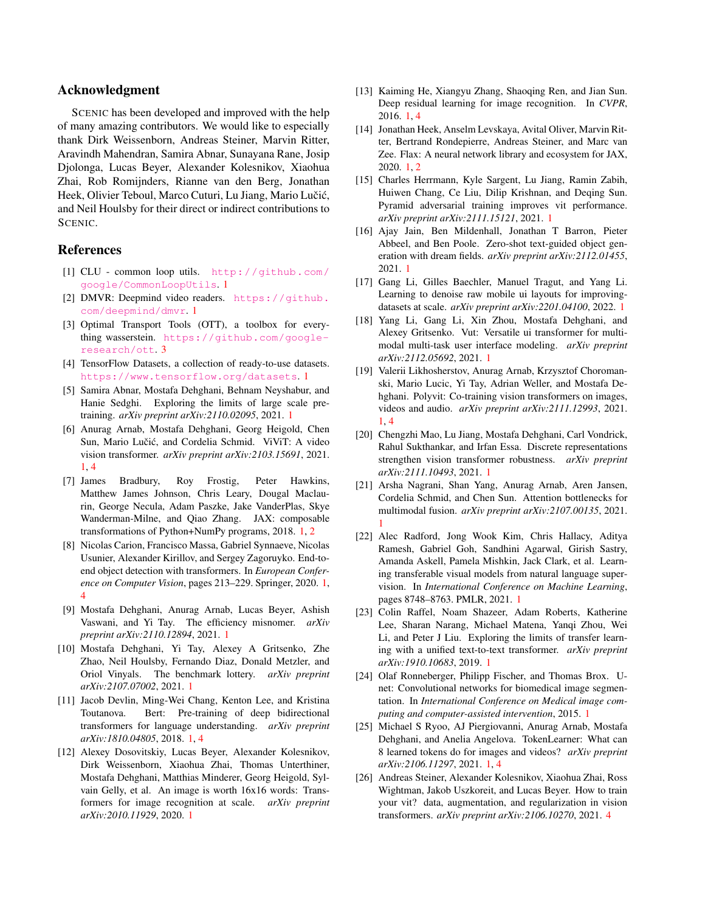### Acknowledgment

SCENIC has been developed and improved with the help of many amazing contributors. We would like to especially thank Dirk Weissenborn, Andreas Steiner, Marvin Ritter, Aravindh Mahendran, Samira Abnar, Sunayana Rane, Josip Djolonga, Lucas Beyer, Alexander Kolesnikov, Xiaohua Zhai, Rob Romijnders, Rianne van den Berg, Jonathan Heek, Olivier Teboul, Marco Cuturi, Lu Jiang, Mario Lučić, and Neil Houlsby for their direct or indirect contributions to SCENIC.

## References

- [1] CLU common loop utils. http://github.com/ google/CommonLoopUtils. 1
- [2] DMVR: Deepmind video readers. https://github. com/deepmind/dmvr. 1
- [3] Optimal Transport Tools (OTT), a toolbox for everything wasserstein. https://github.com/googleresearch/ott. 3
- [4] TensorFlow Datasets, a collection of ready-to-use datasets. https://www.tensorflow.org/datasets. 1
- [5] Samira Abnar, Mostafa Dehghani, Behnam Neyshabur, and Hanie Sedghi. Exploring the limits of large scale pretraining. *arXiv preprint arXiv:2110.02095*, 2021. 1
- [6] Anurag Arnab, Mostafa Dehghani, Georg Heigold, Chen Sun, Mario Lučić, and Cordelia Schmid. ViViT: A video vision transformer. *arXiv preprint arXiv:2103.15691*, 2021. 1, 4
- [7] James Bradbury, Roy Frostig, Peter Hawkins, Matthew James Johnson, Chris Leary, Dougal Maclaurin, George Necula, Adam Paszke, Jake VanderPlas, Skye Wanderman-Milne, and Qiao Zhang. JAX: composable transformations of Python+NumPy programs, 2018. 1, 2
- [8] Nicolas Carion, Francisco Massa, Gabriel Synnaeve, Nicolas Usunier, Alexander Kirillov, and Sergey Zagoruyko. End-toend object detection with transformers. In *European Conference on Computer Vision*, pages 213–229. Springer, 2020. 1, 4
- [9] Mostafa Dehghani, Anurag Arnab, Lucas Beyer, Ashish Vaswani, and Yi Tay. The efficiency misnomer. *arXiv preprint arXiv:2110.12894*, 2021. 1
- [10] Mostafa Dehghani, Yi Tay, Alexey A Gritsenko, Zhe Zhao, Neil Houlsby, Fernando Diaz, Donald Metzler, and Oriol Vinyals. The benchmark lottery. *arXiv preprint arXiv:2107.07002*, 2021. 1
- [11] Jacob Devlin, Ming-Wei Chang, Kenton Lee, and Kristina Toutanova. Bert: Pre-training of deep bidirectional transformers for language understanding. *arXiv preprint arXiv:1810.04805*, 2018. 1, 4
- [12] Alexey Dosovitskiy, Lucas Beyer, Alexander Kolesnikov, Dirk Weissenborn, Xiaohua Zhai, Thomas Unterthiner, Mostafa Dehghani, Matthias Minderer, Georg Heigold, Sylvain Gelly, et al. An image is worth 16x16 words: Transformers for image recognition at scale. *arXiv preprint arXiv:2010.11929*, 2020. 1
- [13] Kaiming He, Xiangyu Zhang, Shaoqing Ren, and Jian Sun. Deep residual learning for image recognition. In *CVPR*, 2016. 1, 4
- [14] Jonathan Heek, Anselm Levskaya, Avital Oliver, Marvin Ritter, Bertrand Rondepierre, Andreas Steiner, and Marc van Zee. Flax: A neural network library and ecosystem for JAX, 2020. 1, 2
- [15] Charles Herrmann, Kyle Sargent, Lu Jiang, Ramin Zabih, Huiwen Chang, Ce Liu, Dilip Krishnan, and Deqing Sun. Pyramid adversarial training improves vit performance. *arXiv preprint arXiv:2111.15121*, 2021. 1
- [16] Ajay Jain, Ben Mildenhall, Jonathan T Barron, Pieter Abbeel, and Ben Poole. Zero-shot text-guided object generation with dream fields. *arXiv preprint arXiv:2112.01455*, 2021. 1
- [17] Gang Li, Gilles Baechler, Manuel Tragut, and Yang Li. Learning to denoise raw mobile ui layouts for improvingdatasets at scale. *arXiv preprint arXiv:2201.04100*, 2022. 1
- [18] Yang Li, Gang Li, Xin Zhou, Mostafa Dehghani, and Alexey Gritsenko. Vut: Versatile ui transformer for multimodal multi-task user interface modeling. *arXiv preprint arXiv:2112.05692*, 2021. 1
- [19] Valerii Likhosherstov, Anurag Arnab, Krzysztof Choromanski, Mario Lucic, Yi Tay, Adrian Weller, and Mostafa Dehghani. Polyvit: Co-training vision transformers on images, videos and audio. *arXiv preprint arXiv:2111.12993*, 2021. 1, 4
- [20] Chengzhi Mao, Lu Jiang, Mostafa Dehghani, Carl Vondrick, Rahul Sukthankar, and Irfan Essa. Discrete representations strengthen vision transformer robustness. *arXiv preprint arXiv:2111.10493*, 2021. 1
- [21] Arsha Nagrani, Shan Yang, Anurag Arnab, Aren Jansen, Cordelia Schmid, and Chen Sun. Attention bottlenecks for multimodal fusion. *arXiv preprint arXiv:2107.00135*, 2021. 1
- [22] Alec Radford, Jong Wook Kim, Chris Hallacy, Aditya Ramesh, Gabriel Goh, Sandhini Agarwal, Girish Sastry, Amanda Askell, Pamela Mishkin, Jack Clark, et al. Learning transferable visual models from natural language supervision. In *International Conference on Machine Learning*, pages 8748–8763. PMLR, 2021. 1
- [23] Colin Raffel, Noam Shazeer, Adam Roberts, Katherine Lee, Sharan Narang, Michael Matena, Yanqi Zhou, Wei Li, and Peter J Liu. Exploring the limits of transfer learning with a unified text-to-text transformer. *arXiv preprint arXiv:1910.10683*, 2019. 1
- [24] Olaf Ronneberger, Philipp Fischer, and Thomas Brox. Unet: Convolutional networks for biomedical image segmentation. In *International Conference on Medical image computing and computer-assisted intervention*, 2015. 1
- [25] Michael S Ryoo, AJ Piergiovanni, Anurag Arnab, Mostafa Dehghani, and Anelia Angelova. TokenLearner: What can 8 learned tokens do for images and videos? *arXiv preprint arXiv:2106.11297*, 2021. 1, 4
- [26] Andreas Steiner, Alexander Kolesnikov, Xiaohua Zhai, Ross Wightman, Jakob Uszkoreit, and Lucas Beyer. How to train your vit? data, augmentation, and regularization in vision transformers. *arXiv preprint arXiv:2106.10270*, 2021. 4